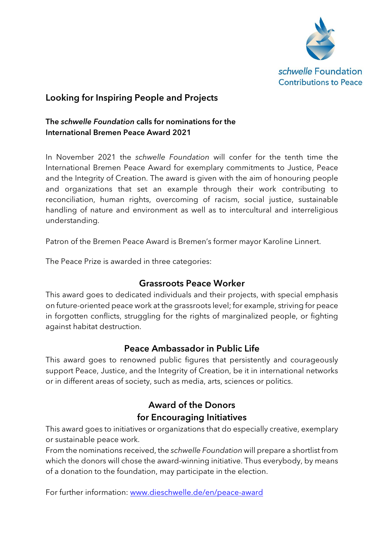

## Looking for Inspiring People and Projects

#### The schwelle Foundation calls for nominations for the International Bremen Peace Award 2021

In November 2021 the schwelle Foundation will confer for the tenth time the International Bremen Peace Award for exemplary commitments to Justice, Peace and the Integrity of Creation. The award is given with the aim of honouring people and organizations that set an example through their work contributing to reconciliation, human rights, overcoming of racism, social justice, sustainable handling of nature and environment as well as to intercultural and interreligious understanding.

Patron of the Bremen Peace Award is Bremen's former mayor Karoline Linnert.

The Peace Prize is awarded in three categories:

### Grassroots Peace Worker

This award goes to dedicated individuals and their projects, with special emphasis on future-oriented peace work at the grassroots level; for example, striving for peace in forgotten conflicts, struggling for the rights of marginalized people, or fighting against habitat destruction.

### Peace Ambassador in Public Life

This award goes to renowned public figures that persistently and courageously support Peace, Justice, and the Integrity of Creation, be it in international networks or in different areas of society, such as media, arts, sciences or politics.

# Award of the Donors for Encouraging Initiatives

This award goes to initiatives or organizations that do especially creative, exemplary or sustainable peace work.

From the nominations received, the schwelle Foundation will prepare a shortlist from which the donors will chose the award-winning initiative. Thus everybody, by means of a donation to the foundation, may participate in the election.

For further information: www.dieschwelle.de/en/peace-award